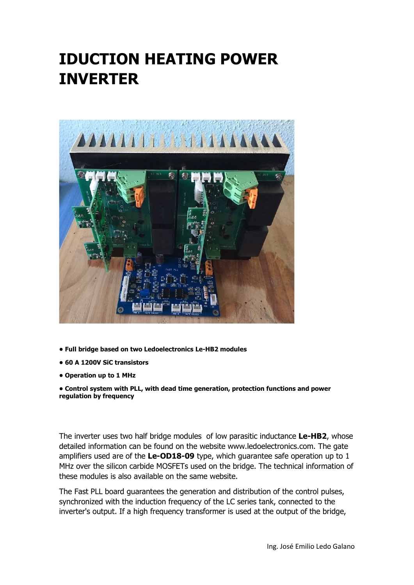## IDUCTION HEATING POWER INVERTER



- Full bridge based on two Ledoelectronics Le-HB2 modules
- 60 A 1200V SiC transistors
- Operation up to 1 MHz

• Control system with PLL, with dead time generation, protection functions and power regulation by frequency

The inverter uses two half bridge modules of low parasitic inductance Le-HB2, whose detailed information can be found on the website www.ledoelectronics.com. The gate amplifiers used are of the Le-OD18-09 type, which guarantee safe operation up to 1 MHz over the silicon carbide MOSFETs used on the bridge. The technical information of these modules is also available on the same website.

The Fast PLL board guarantees the generation and distribution of the control pulses, synchronized with the induction frequency of the LC series tank, connected to the inverter's output. If a high frequency transformer is used at the output of the bridge,